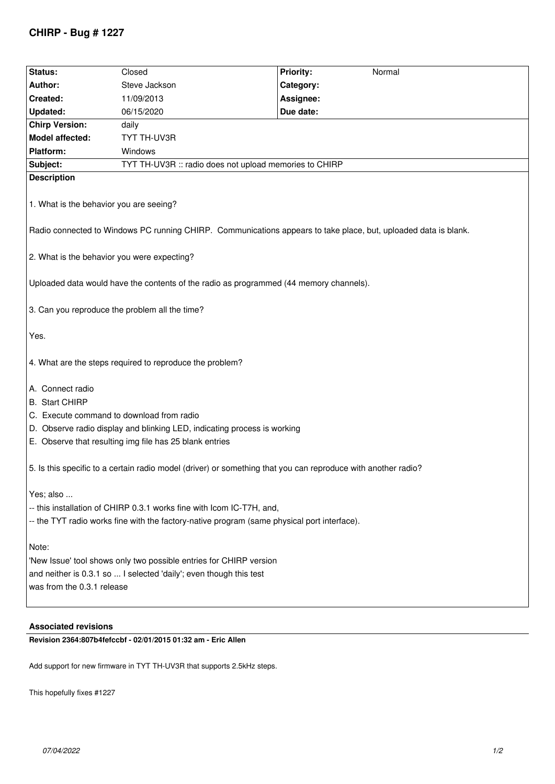# **CHIRP - Bug # 1227**

| Status:                                                                                                         | Closed                                                 | <b>Priority:</b><br>Normal |  |  |  |  |
|-----------------------------------------------------------------------------------------------------------------|--------------------------------------------------------|----------------------------|--|--|--|--|
| Author:                                                                                                         | Steve Jackson                                          | Category:                  |  |  |  |  |
| Created:                                                                                                        | 11/09/2013                                             | Assignee:                  |  |  |  |  |
| <b>Updated:</b>                                                                                                 | 06/15/2020                                             | Due date:                  |  |  |  |  |
| <b>Chirp Version:</b>                                                                                           | daily                                                  |                            |  |  |  |  |
| <b>Model affected:</b>                                                                                          | TYT TH-UV3R                                            |                            |  |  |  |  |
| Platform:                                                                                                       | Windows                                                |                            |  |  |  |  |
| Subject:                                                                                                        | TYT TH-UV3R :: radio does not upload memories to CHIRP |                            |  |  |  |  |
| <b>Description</b>                                                                                              |                                                        |                            |  |  |  |  |
| 1. What is the behavior you are seeing?                                                                         |                                                        |                            |  |  |  |  |
| Radio connected to Windows PC running CHIRP. Communications appears to take place, but, uploaded data is blank. |                                                        |                            |  |  |  |  |
| 2. What is the behavior you were expecting?                                                                     |                                                        |                            |  |  |  |  |
| Uploaded data would have the contents of the radio as programmed (44 memory channels).                          |                                                        |                            |  |  |  |  |
| 3. Can you reproduce the problem all the time?                                                                  |                                                        |                            |  |  |  |  |
| Yes.                                                                                                            |                                                        |                            |  |  |  |  |
| 4. What are the steps required to reproduce the problem?                                                        |                                                        |                            |  |  |  |  |
| A. Connect radio                                                                                                |                                                        |                            |  |  |  |  |
| <b>B.</b> Start CHIRP                                                                                           |                                                        |                            |  |  |  |  |
| C. Execute command to download from radio                                                                       |                                                        |                            |  |  |  |  |
| D. Observe radio display and blinking LED, indicating process is working                                        |                                                        |                            |  |  |  |  |
| E. Observe that resulting img file has 25 blank entries                                                         |                                                        |                            |  |  |  |  |
|                                                                                                                 |                                                        |                            |  |  |  |  |
| 5. Is this specific to a certain radio model (driver) or something that you can reproduce with another radio?   |                                                        |                            |  |  |  |  |
| Yes; also                                                                                                       |                                                        |                            |  |  |  |  |
| -- this installation of CHIRP 0.3.1 works fine with Icom IC-T7H, and,                                           |                                                        |                            |  |  |  |  |
| -- the TYT radio works fine with the factory-native program (same physical port interface).                     |                                                        |                            |  |  |  |  |
| Note:                                                                                                           |                                                        |                            |  |  |  |  |
| 'New Issue' tool shows only two possible entries for CHIRP version                                              |                                                        |                            |  |  |  |  |
| and neither is 0.3.1 so  I selected 'daily'; even though this test                                              |                                                        |                            |  |  |  |  |
| was from the 0.3.1 release                                                                                      |                                                        |                            |  |  |  |  |
|                                                                                                                 |                                                        |                            |  |  |  |  |
|                                                                                                                 |                                                        |                            |  |  |  |  |

## **Associated revisions**

**Revision 2364:807b4fefccbf - 02/01/2015 01:32 am - Eric Allen** 

*Add support for new firmware in TYT TH-UV3R that supports 2.5kHz steps.*

*This hopefully fixes #1227*